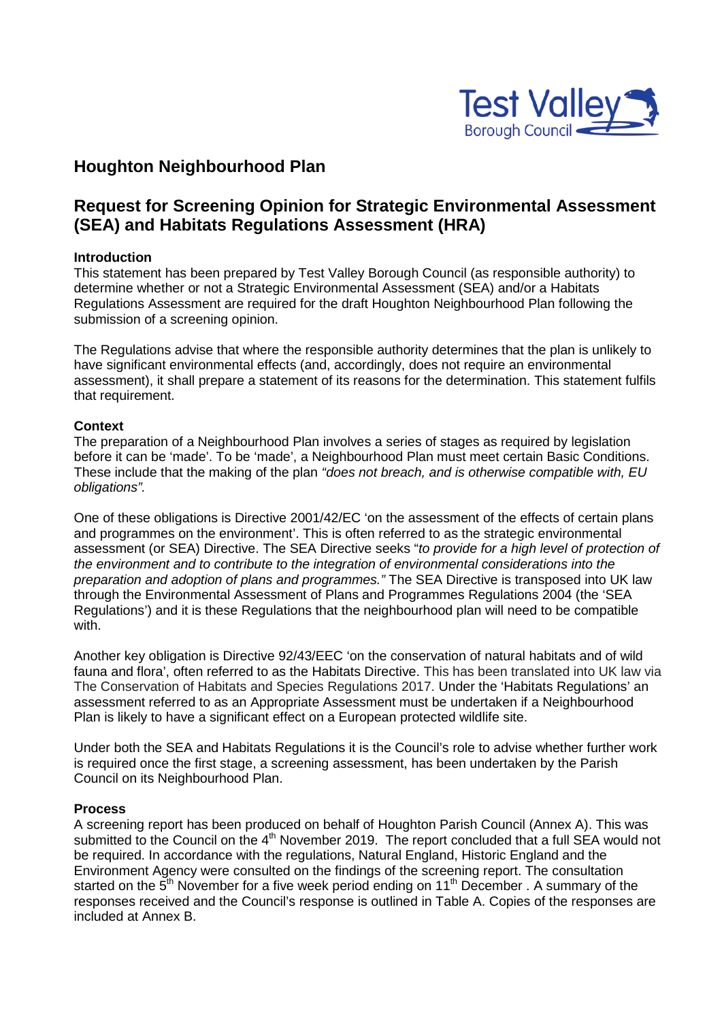

## **Houghton Neighbourhood Plan**

## **Request for Screening Opinion for Strategic Environmental Assessment (SEA) and Habitats Regulations Assessment (HRA)**

#### **Introduction**

This statement has been prepared by Test Valley Borough Council (as responsible authority) to determine whether or not a Strategic Environmental Assessment (SEA) and/or a Habitats Regulations Assessment are required for the draft Houghton Neighbourhood Plan following the submission of a screening opinion.

The Regulations advise that where the responsible authority determines that the plan is unlikely to have significant environmental effects (and, accordingly, does not require an environmental assessment), it shall prepare a statement of its reasons for the determination. This statement fulfils that requirement.

#### **Context**

The preparation of a Neighbourhood Plan involves a series of stages as required by legislation before it can be 'made'. To be 'made', a Neighbourhood Plan must meet certain Basic Conditions. These include that the making of the plan *"does not breach, and is otherwise compatible with, EU obligations".*

One of these obligations is Directive 2001/42/EC 'on the assessment of the effects of certain plans and programmes on the environment'. This is often referred to as the strategic environmental assessment (or SEA) Directive. The SEA Directive seeks "*to provide for a high level of protection of the environment and to contribute to the integration of environmental considerations into the preparation and adoption of plans and programmes."* The SEA Directive is transposed into UK law through the Environmental Assessment of Plans and Programmes Regulations 2004 (the 'SEA Regulations') and it is these Regulations that the neighbourhood plan will need to be compatible with.

Another key obligation is Directive 92/43/EEC 'on the conservation of natural habitats and of wild fauna and flora', often referred to as the Habitats Directive. This has been translated into UK law via The Conservation of Habitats and Species Regulations 2017. Under the 'Habitats Regulations' an assessment referred to as an Appropriate Assessment must be undertaken if a Neighbourhood Plan is likely to have a significant effect on a European protected wildlife site.

Under both the SEA and Habitats Regulations it is the Council's role to advise whether further work is required once the first stage, a screening assessment, has been undertaken by the Parish Council on its Neighbourhood Plan.

#### **Process**

A screening report has been produced on behalf of Houghton Parish Council (Annex A). This was submitted to the Council on the 4<sup>th</sup> November 2019. The report concluded that a full SEA would not be required. In accordance with the regulations, Natural England, Historic England and the Environment Agency were consulted on the findings of the screening report. The consultation started on the  $5<sup>th</sup>$  November for a five week period ending on 11<sup>th</sup> December . A summary of the responses received and the Council's response is outlined in Table A. Copies of the responses are included at Annex B.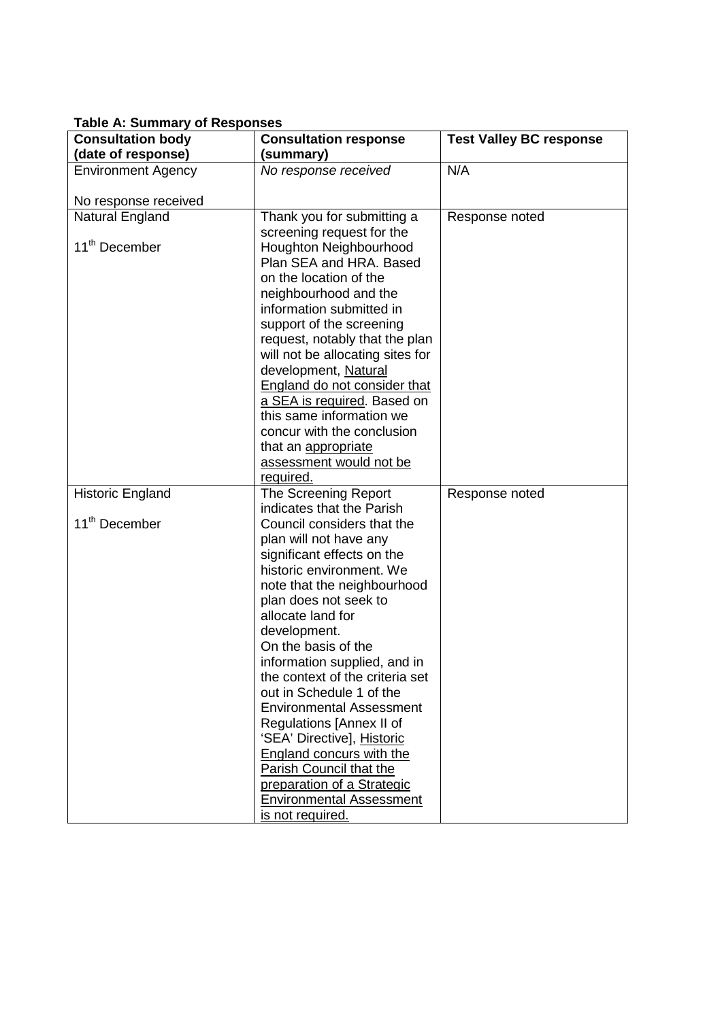| rapic A. Odminary or Responses<br><b>Consultation body</b> | <b>Consultation response</b>                                  | <b>Test Valley BC response</b> |
|------------------------------------------------------------|---------------------------------------------------------------|--------------------------------|
| (date of response)                                         | (summary)                                                     |                                |
| <b>Environment Agency</b>                                  | No response received                                          | N/A                            |
|                                                            |                                                               |                                |
| No response received                                       |                                                               |                                |
| Natural England                                            | Thank you for submitting a                                    | Response noted                 |
|                                                            | screening request for the                                     |                                |
| 11 <sup>th</sup> December                                  | Houghton Neighbourhood                                        |                                |
|                                                            | Plan SEA and HRA. Based                                       |                                |
|                                                            | on the location of the                                        |                                |
|                                                            | neighbourhood and the                                         |                                |
|                                                            | information submitted in                                      |                                |
|                                                            | support of the screening                                      |                                |
|                                                            | request, notably that the plan                                |                                |
|                                                            | will not be allocating sites for                              |                                |
|                                                            | development, Natural                                          |                                |
|                                                            | <b>England do not consider that</b>                           |                                |
|                                                            | a SEA is required. Based on<br>this same information we       |                                |
|                                                            | concur with the conclusion                                    |                                |
|                                                            | that an appropriate                                           |                                |
|                                                            | assessment would not be                                       |                                |
|                                                            | required.                                                     |                                |
| <b>Historic England</b>                                    | The Screening Report                                          | Response noted                 |
|                                                            | indicates that the Parish                                     |                                |
| 11 <sup>th</sup> December                                  | Council considers that the                                    |                                |
|                                                            | plan will not have any                                        |                                |
|                                                            | significant effects on the                                    |                                |
|                                                            | historic environment. We                                      |                                |
|                                                            | note that the neighbourhood                                   |                                |
|                                                            | plan does not seek to                                         |                                |
|                                                            | allocate land for                                             |                                |
|                                                            | development.                                                  |                                |
|                                                            | On the basis of the                                           |                                |
|                                                            | information supplied, and in                                  |                                |
|                                                            | the context of the criteria set                               |                                |
|                                                            | out in Schedule 1 of the                                      |                                |
|                                                            | <b>Environmental Assessment</b>                               |                                |
|                                                            | Regulations [Annex II of                                      |                                |
|                                                            | 'SEA' Directive], Historic<br><b>England concurs with the</b> |                                |
|                                                            | Parish Council that the                                       |                                |
|                                                            | preparation of a Strategic                                    |                                |
|                                                            | <b>Environmental Assessment</b>                               |                                |
|                                                            | is not required.                                              |                                |

### **Table A: Summary of Responses**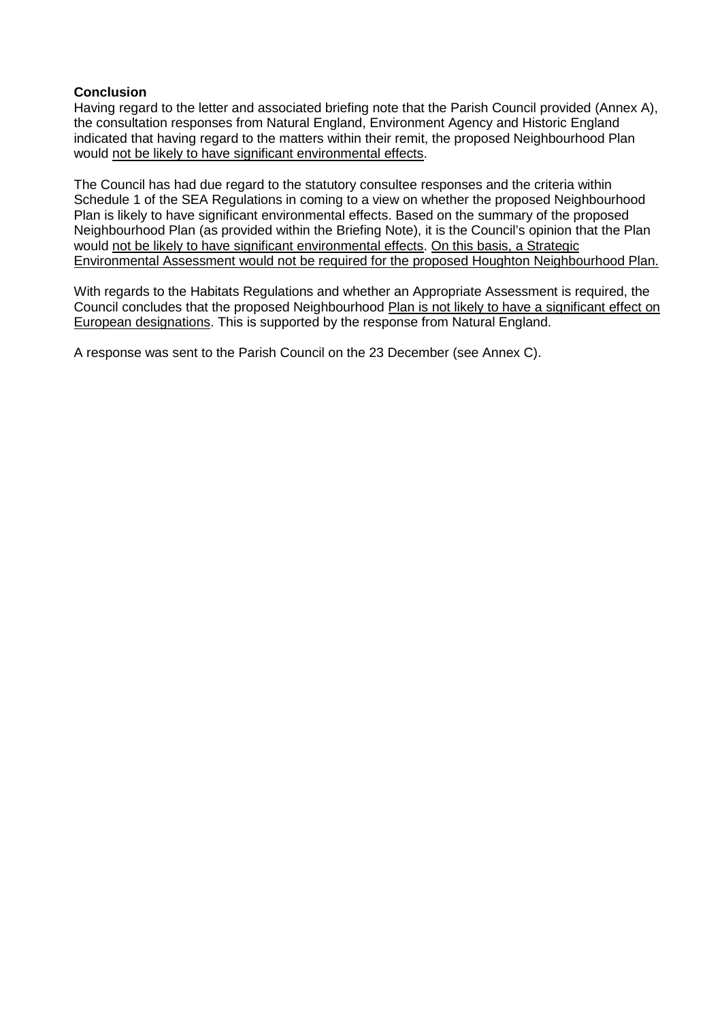#### **Conclusion**

Having regard to the letter and associated briefing note that the Parish Council provided (Annex A), the consultation responses from Natural England, Environment Agency and Historic England indicated that having regard to the matters within their remit, the proposed Neighbourhood Plan would not be likely to have significant environmental effects.

The Council has had due regard to the statutory consultee responses and the criteria within Schedule 1 of the SEA Regulations in coming to a view on whether the proposed Neighbourhood Plan is likely to have significant environmental effects. Based on the summary of the proposed Neighbourhood Plan (as provided within the Briefing Note), it is the Council's opinion that the Plan would not be likely to have significant environmental effects. On this basis, a Strategic Environmental Assessment would not be required for the proposed Houghton Neighbourhood Plan.

With regards to the Habitats Regulations and whether an Appropriate Assessment is required, the Council concludes that the proposed Neighbourhood Plan is not likely to have a significant effect on European designations. This is supported by the response from Natural England.

A response was sent to the Parish Council on the 23 December (see Annex C).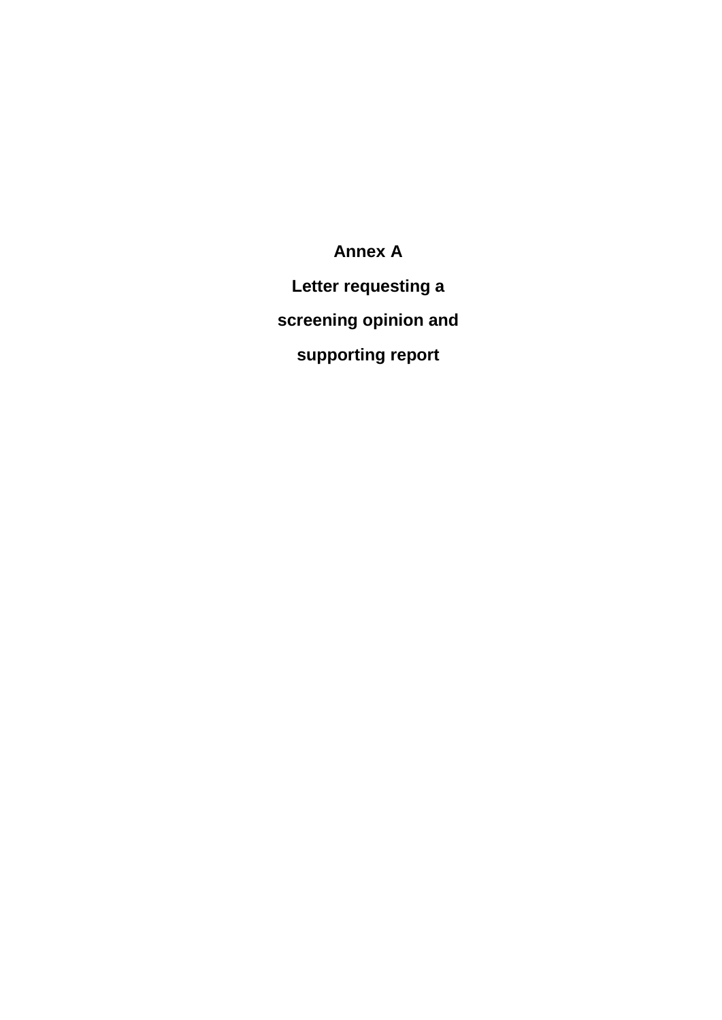**Annex A Letter requesting a screening opinion and supporting report**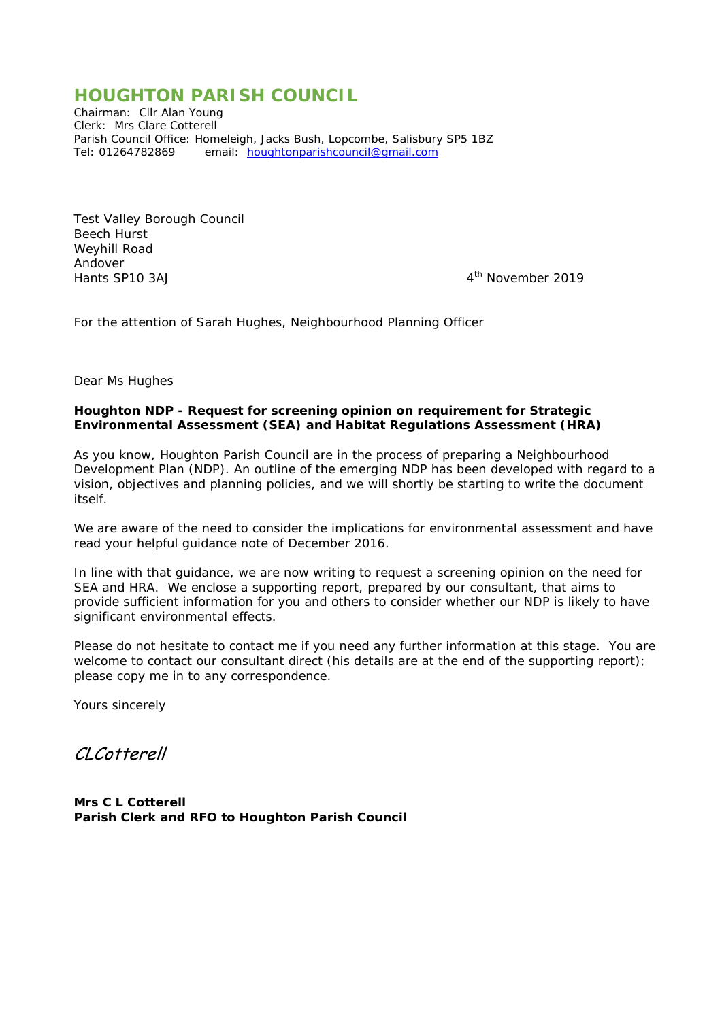## *HOUGHTON PARISH COUNCIL*

*Chairman: Cllr Alan Young Clerk: Mrs Clare Cotterell Parish Council Office: Homeleigh, Jacks Bush, Lopcombe, Salisbury SP5 1BZ Tel: 01264782869 email:* [houghtonparishcouncil@gmail.com](mailto:houghtonparishcouncil@gmail.com)

Test Valley Borough Council Beech Hurst Weyhill Road Andover<br>Hants SP10 3AJ

4<sup>th</sup> November 2019

For the attention of Sarah Hughes, Neighbourhood Planning Officer

Dear Ms Hughes

#### **Houghton NDP - Request for screening opinion on requirement for Strategic Environmental Assessment (SEA) and Habitat Regulations Assessment (HRA)**

As you know, Houghton Parish Council are in the process of preparing a Neighbourhood Development Plan (NDP). An outline of the emerging NDP has been developed with regard to a vision, objectives and planning policies, and we will shortly be starting to write the document itself.

We are aware of the need to consider the implications for environmental assessment and have read your helpful guidance note of December 2016.

In line with that guidance, we are now writing to request a screening opinion on the need for SEA and HRA. We enclose a supporting report, prepared by our consultant, that aims to provide sufficient information for you and others to consider whether our NDP is likely to have significant environmental effects.

Please do not hesitate to contact me if you need any further information at this stage. You are welcome to contact our consultant direct (his details are at the end of the supporting report); please copy me in to any correspondence.

Yours sincerely

CLCotterell

*Mrs C L Cotterell Parish Clerk and RFO to Houghton Parish Council*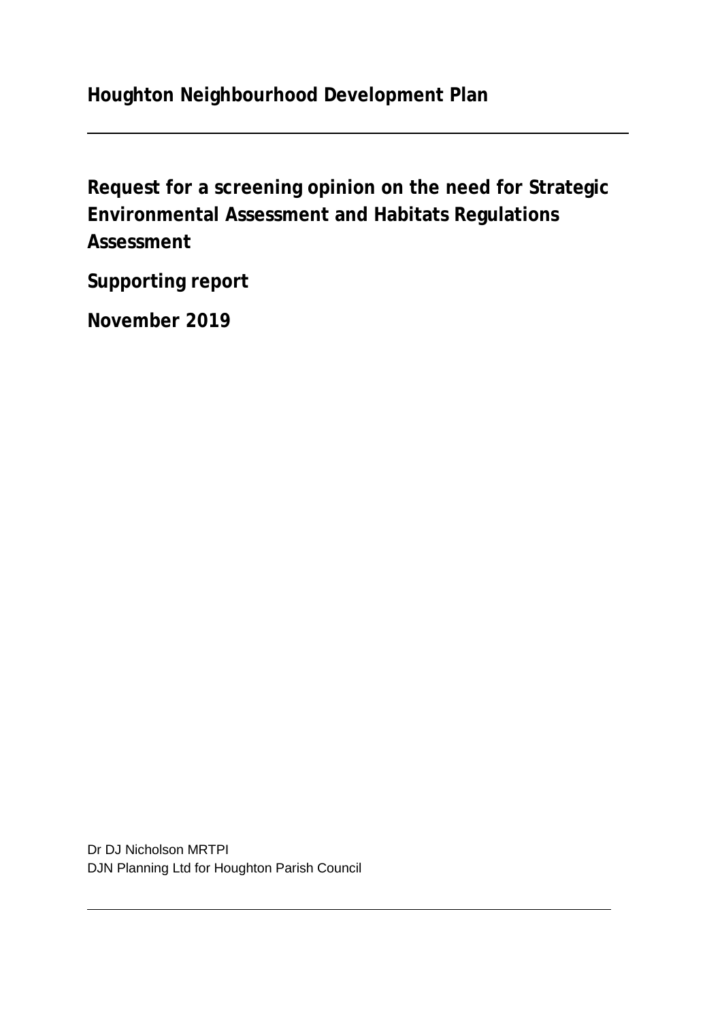# **Houghton Neighbourhood Development Plan**

**Request for a screening opinion on the need for Strategic Environmental Assessment and Habitats Regulations Assessment**

**Supporting report**

**November 2019**

Dr DJ Nicholson MRTPI DJN Planning Ltd for Houghton Parish Council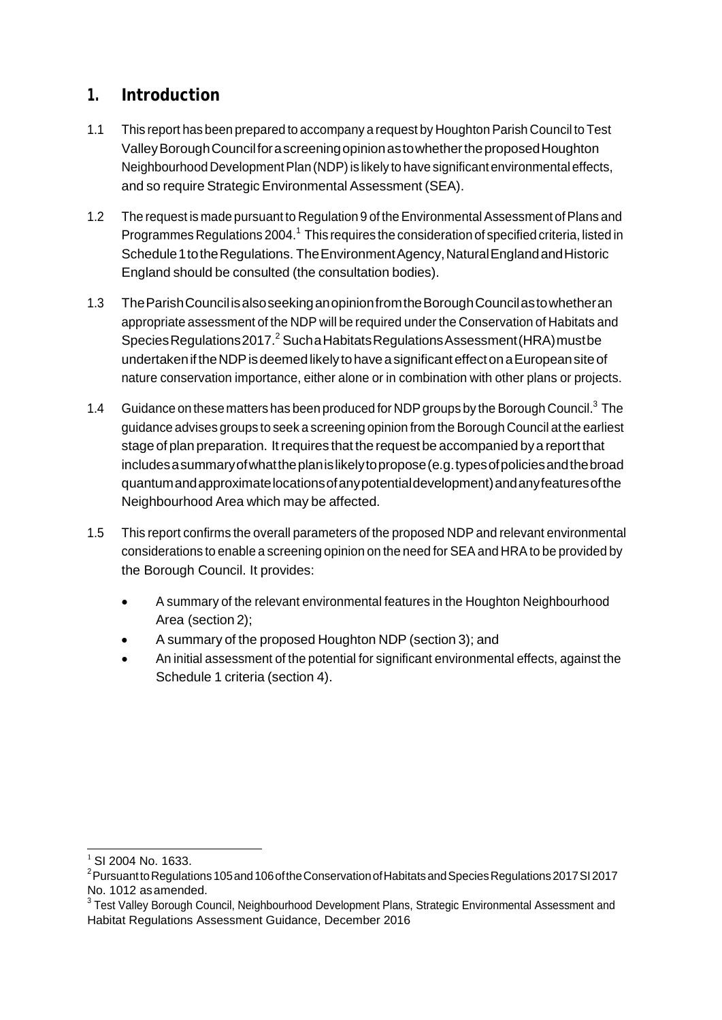## **1. Introduction**

- 1.1 This report has been prepared to accompany a request by HoughtonParish Council to Test ValleyBoroughCouncilforascreeningopinionastowhethertheproposedHoughton Neighbourhood Development Plan (NDP) is likely to have significant environmental effects, and so require Strategic Environmental Assessment (SEA).
- 1.2 The request is made pursuant to Regulation 9 of the Environmental Assessment of Plans and Programmes Regulations 2004.<sup>1</sup> This requires the consideration of specified criteria, listed in Schedule 1 to the Regulations. The Environment Agency, Natural England and Historic England should be consulted (the consultation bodies).
- 1.3 TheParishCouncilisalsoseekinganopinionfromtheBoroughCouncilastowhetheran appropriate assessment of the NDP will be required under the Conservation of Habitats and SpeciesRegulations2017.<sup>2</sup> SuchaHabitatsRegulationsAssessment(HRA)mustbe undertaken if the NDP is deemed likely to have a significant effect on a European site of nature conservation importance, either alone or in combination with other plans or projects.
- 1.4 Guidance on these matters has been produced for NDP groups by the Borough Council.<sup>3</sup> The guidance advises groups to seek a screening opinion from the Borough Council at the earliest stage of plan preparation. Itrequires that the request be accompanied bya report that includesasummaryofwhattheplanislikelytopropose(e.g.typesofpoliciesandthebroad quantumandapproximatelocationsofanypotentialdevelopment)andanyfeaturesofthe Neighbourhood Area which may be affected.
- 1.5 This report confirms the overall parameters of the proposed NDP and relevant environmental considerations to enable a screening opinion on the need for SEA and HRAto be provided by the Borough Council. It provides:
	- A summary of the relevant environmental features in the Houghton Neighbourhood Area (section 2);
	- A summary of the proposed Houghton NDP (section 3); and
	- An initial assessment of the potential for significant environmental effects, against the Schedule 1 criteria (section 4).

 $1$  SI 2004 No. 1633.

 $^{\text{2}}$ Pursuantto Regulations 105 and 106 of the Conservation of Habitats and Species Regulations 2017 SI 2017 No. 1012 asamended.

<sup>&</sup>lt;sup>3</sup> Test Valley Borough Council, Neighbourhood Development Plans, Strategic Environmental Assessment and Habitat Regulations Assessment Guidance, December 2016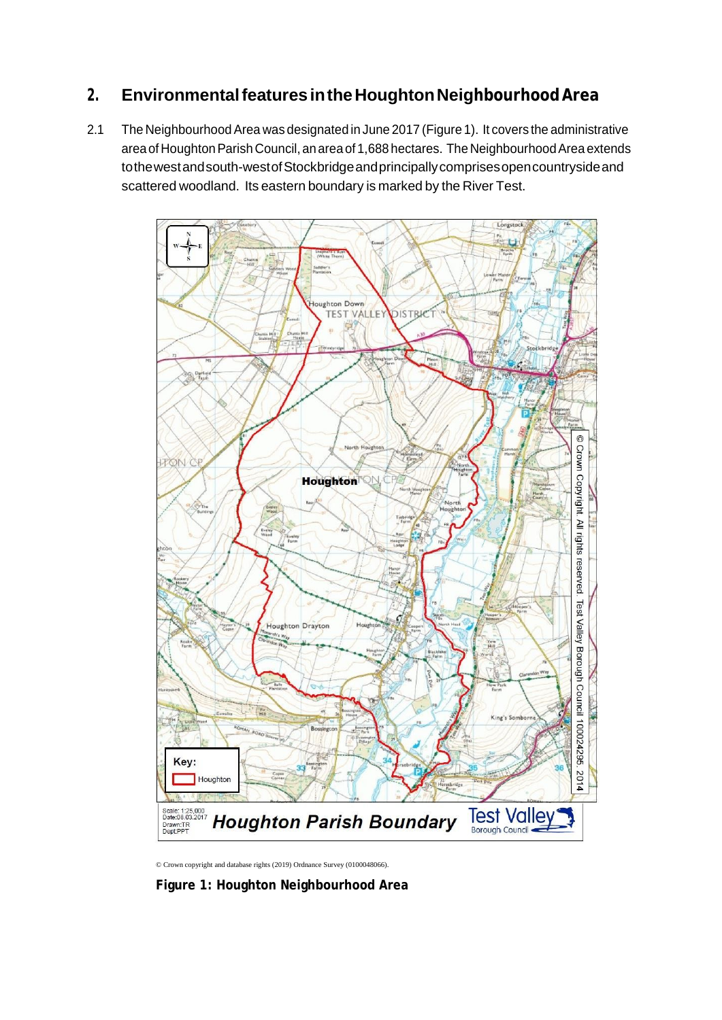## **2. EnvironmentalfeaturesintheHoughtonNeighbourhoodArea**

2.1 The Neighbourhood Area was designated in June 2017 (Figure 1). It covers the administrative area of Houghton Parish Council, an area of 1,688 hectares. The Neighbourhood Area extends tothewestandsouth-westofStockbridgeandprincipallycomprisesopencountrysideand scattered woodland. Its eastern boundary is marked by the River Test.



© Crown copyright and database rights (2019) Ordnance Survey (0100048066).

**Figure 1: Houghton Neighbourhood Area**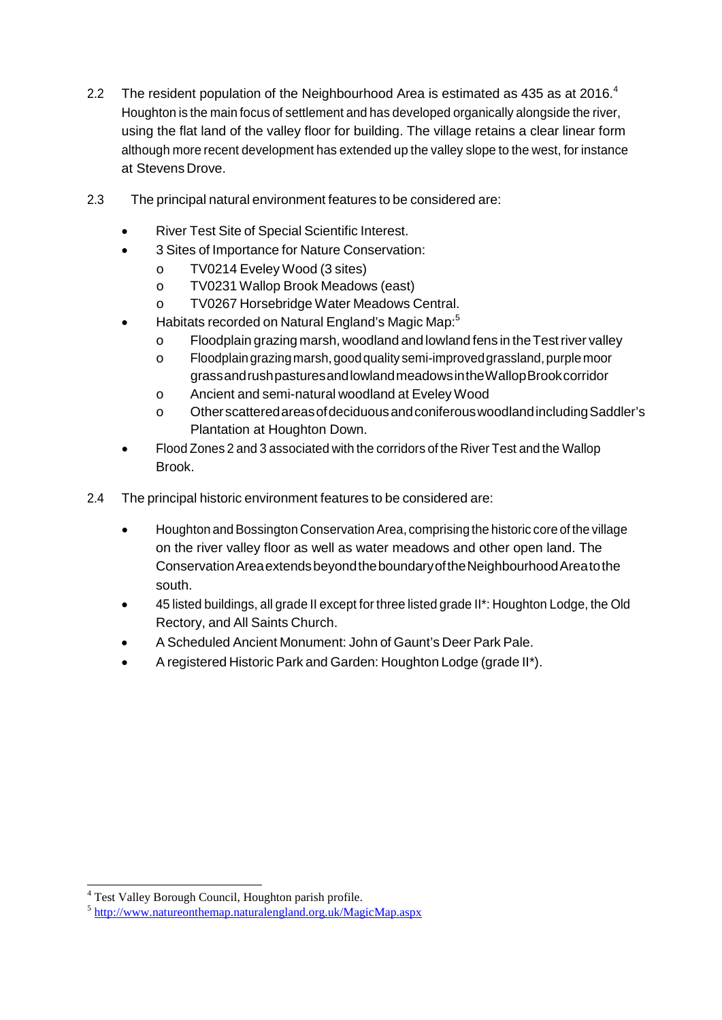- 2.2 The resident population of the Neighbourhood Area is estimated as 435 as at 2016. $4$ Houghton is the main focus of settlement and has developed organically alongside the river, using the flat land of the valley floor for building. The village retains a clear linear form although more recent development has extended up the valley slope to the west, for instance at Stevens Drove.
- 2.3 The principal natural environment features to be considered are:
	- River Test Site of Special Scientific Interest.
	- 3 Sites of Importance for Nature Conservation:
		- o TV0214 Eveley Wood (3 sites)
		- o TV0231 Wallop Brook Meadows (east)<br>o TV0267 Horsebridge Water Meadows (
		- TV0267 Horsebridge Water Meadows Central.
	- Habitats recorded on Natural England's Magic Map:5
		- o Floodplain grazing marsh, woodland and lowland fens in theTestriver valley
		- o Floodplaingrazingmarsh,goodquality semi-improvedgrassland,purplemoor grassandrushpasturesandlowlandmeadowsintheWallopBrookcorridor
		- o Ancient and semi-natural woodland at Eveley Wood
		- o OtherscatteredareasofdeciduousandconiferouswoodlandincludingSaddler's Plantation at Houghton Down.
	- Flood Zones 2 and 3 associated with the corridors of the River Test and the Wallop Brook.
- 2.4 The principal historic environment features to be considered are:
	- Houghton and Bossington Conservation Area, comprising the historic core of the village on the river valley floor as well as water meadows and other open land. The ConservationAreaextendsbeyondtheboundaryoftheNeighbourhoodAreatothe south.
	- 45 listed buildings, all grade II except for three listed grade II\*: Houghton Lodge, the Old Rectory, and All Saints Church.
	- A Scheduled Ancient Monument: John of Gaunt's Deer Park Pale.
	- A registered Historic Park and Garden: Houghton Lodge (grade II\*).

<sup>4</sup> Test Valley Borough Council, Houghton parish profile.

<sup>5</sup> <http://www.natureonthemap.naturalengland.org.uk/MagicMap.aspx>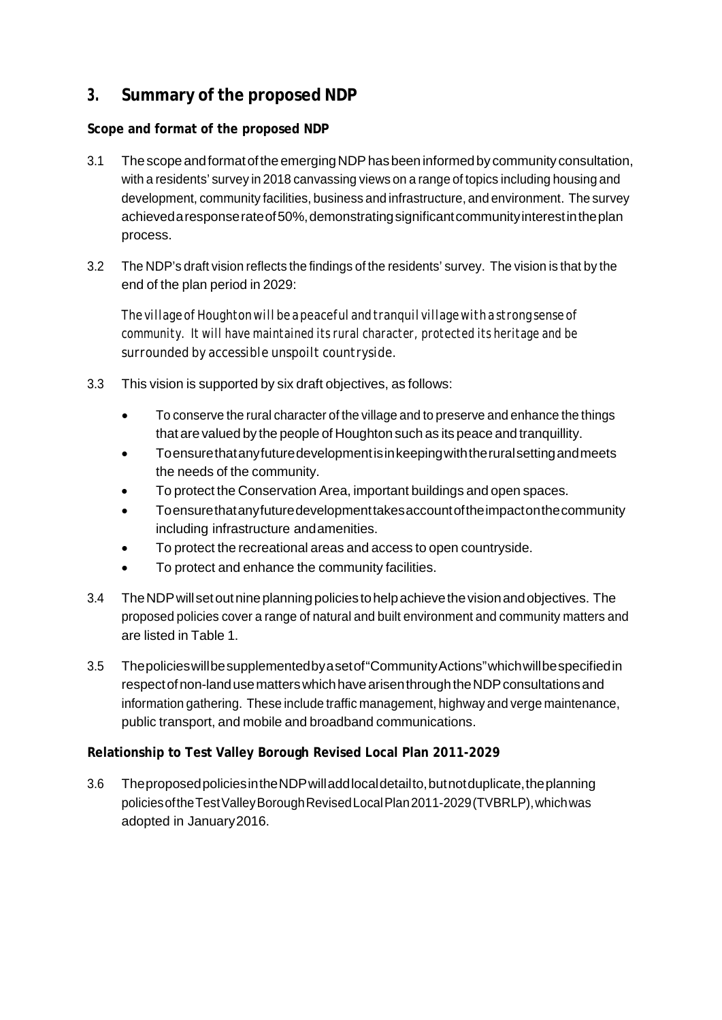## **3. Summary of the proposed NDP**

### **Scope and format of the proposed NDP**

- 3.1 The scope and format of the emerging NDP has been informed by community consultation, with a residents' survey in 2018 canvassing views on a range of topics including housing and development, community facilities, business and infrastructure, and environment. The survey achieveda response rate of 50%, demonstrating significant community interest in the plan process.
- 3.2 The NDP's draft vision reflects the findings of the residents' survey. The vision is that by the end of the plan period in 2029:

*ThevillageofHoughtonwillbeapeacefulandtranquilvillagewithastrong sense of community. It will have maintained its rural character, protected its heritage and be surrounded by accessible unspoilt countryside.*

- 3.3 This vision is supported by six draft objectives, as follows:
	- To conserve the rural character of the village and to preserve and enhance the things that are valued by the people of Houghton such as its peace and tranquillity.
	- Toensurethatanyfuturedevelopmentisinkeepingwiththeruralsettingandmeets the needs of the community.
	- To protect the Conservation Area, important buildings and open spaces.
	- Toensurethatanyfuturedevelopmenttakesaccountoftheimpactonthecommunity including infrastructure andamenities.
	- To protect the recreational areas and access to open countryside.
	- To protect and enhance the community facilities.
- 3.4 TheNDPwillsetoutnineplanningpoliciestohelpachievethevisionandobjectives. The proposed policies cover a range of natural and built environment and community matters and are listed in Table 1.
- 3.5 Thepolicieswillbesupplementedbyasetof"CommunityActions"whichwillbespecifiedin respectofnon-landusematterswhichhavearisenthroughtheNDPconsultationsand information gathering. These include traffic management, highway and verge maintenance, public transport, and mobile and broadband communications.

### **Relationship to Test Valley Borough Revised Local Plan 2011-2029**

3.6 Theproposedpolicies in the NDP will add local detail to, but not duplicate, the planning policiesoftheTestValleyBoroughRevisedLocalPlan2011-2029(TVBRLP),whichwas adopted in January2016.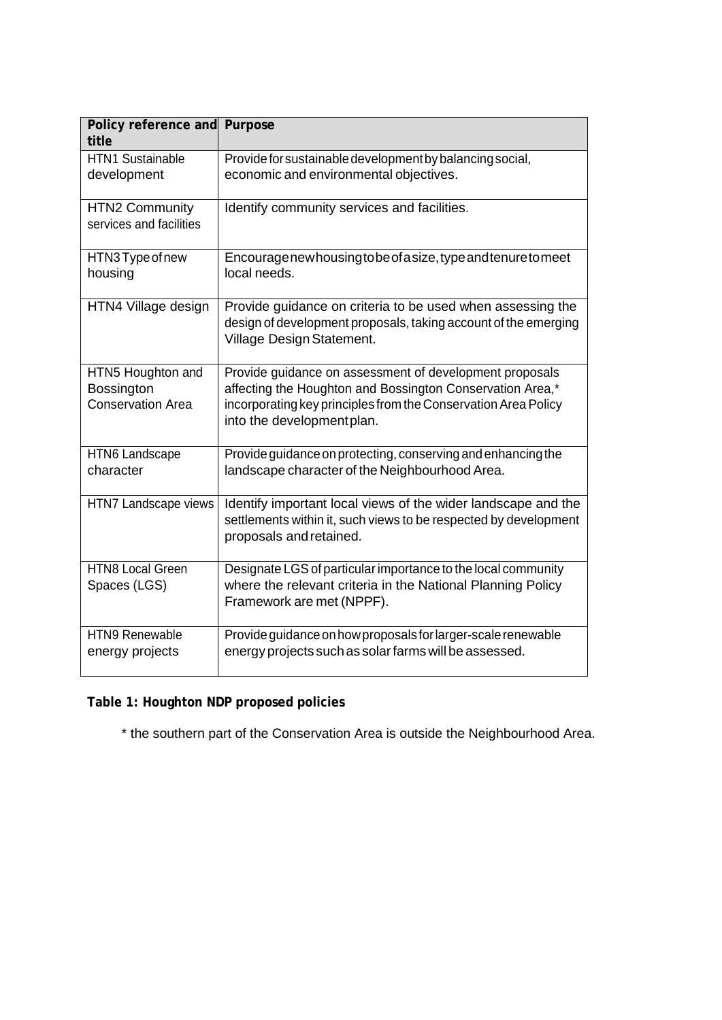| Policy reference and Purpose<br>title                       |                                                                                                                                                                                                                     |
|-------------------------------------------------------------|---------------------------------------------------------------------------------------------------------------------------------------------------------------------------------------------------------------------|
| <b>HTN1 Sustainable</b><br>development                      | Provide for sustainable development by balancing social,<br>economic and environmental objectives.                                                                                                                  |
| <b>HTN2 Community</b><br>services and facilities            | Identify community services and facilities.                                                                                                                                                                         |
| HTN3Type of new<br>housing                                  | Encouragenewhousingtobeofasize, type and tenure to meet<br>local needs.                                                                                                                                             |
| HTN4 Village design                                         | Provide guidance on criteria to be used when assessing the<br>design of development proposals, taking account of the emerging<br>Village Design Statement.                                                          |
| HTN5 Houghton and<br>Bossington<br><b>Conservation Area</b> | Provide guidance on assessment of development proposals<br>affecting the Houghton and Bossington Conservation Area,*<br>incorporating key principles from the Conservation Area Policy<br>into the developmentplan. |
| <b>HTN6 Landscape</b><br>character                          | Provide guidance on protecting, conserving and enhancing the<br>landscape character of the Neighbourhood Area.                                                                                                      |
| HTN7 Landscape views                                        | Identify important local views of the wider landscape and the<br>settlements within it, such views to be respected by development<br>proposals and retained.                                                        |
| <b>HTN8 Local Green</b><br>Spaces (LGS)                     | Designate LGS of particular importance to the local community<br>where the relevant criteria in the National Planning Policy<br>Framework are met (NPPF).                                                           |
| <b>HTN9 Renewable</b><br>energy projects                    | Provide guidance on how proposals for larger-scale renewable<br>energy projects such as solar farms will be assessed.                                                                                               |

**Table 1: Houghton NDP proposed policies**

\* the southern part of the Conservation Area is outside the Neighbourhood Area.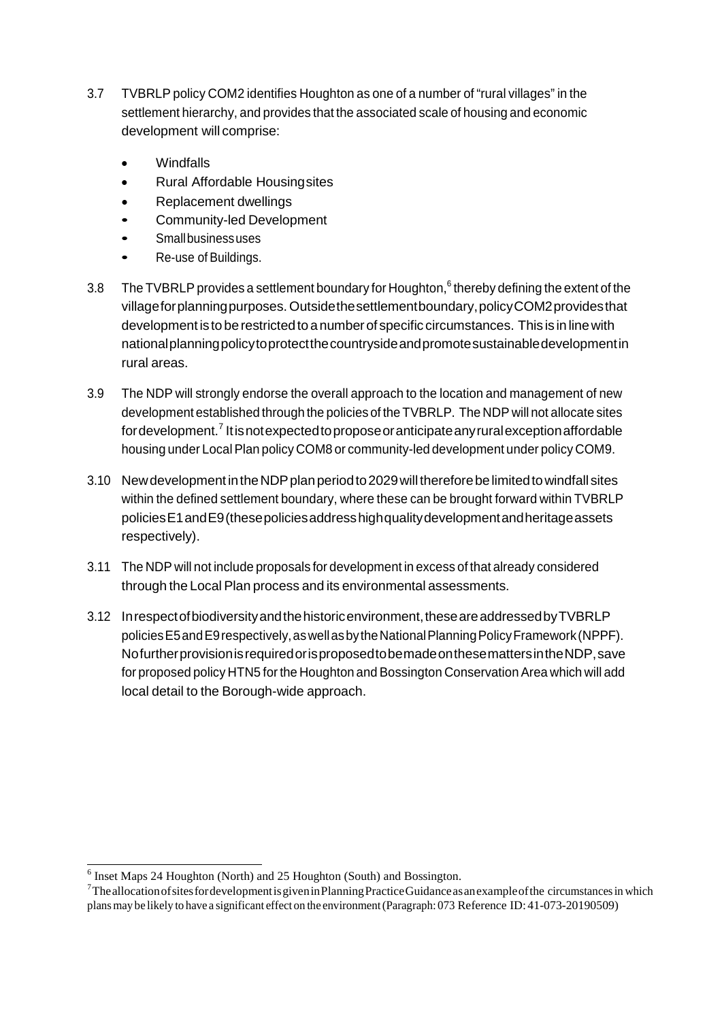- 3.7 TVBRLP policy COM2 identifies Houghton as one of a number of "rural villages" in the settlement hierarchy, and provides that the associated scale of housing and economic development will comprise:
	- Windfalls
	- Rural Affordable Housingsites
	- Replacement dwellings
	- Community-led Development
	- Smallbusinessuses
	- Re-use of Buildings.
- 3.8 The TVBRLP provides a settlement boundary for Houghton,  $6$  thereby defining the extent of the villageforplanningpurposes. Outsidethesettlementboundary,policyCOM2providesthat development is to be restricted to a number of specific circumstances. This is in line with nationalplanningpolicytoprotectthecountrysideandpromotesustainabledevelopmentin rural areas.
- 3.9 The NDP will strongly endorse the overall approach to the location and management of new development established through the policies of the TVBRLP. The NDP will not allocate sites fordevelopment.<sup>7</sup> Itisnotexpectedtoproposeoranticipateanyruralexceptionaffordable housing under Local Plan policy COM8 or community-led development under policy COM9.
- 3.10 New development in the NDP plan period to 2029 will therefore be limited to windfall sites within the defined settlement boundary, where these can be brought forward within TVBRLP policiesE1andE9(thesepoliciesaddresshighqualitydevelopmentandheritageassets respectively).
- 3.11 The NDP will not include proposals for development in excess of that already considered through the Local Plan process and its environmental assessments.
- 3.12 In respect of biodiversity and the historic environment, these are addressed by TVBRLP policiesE5andE9respectively,aswellasbytheNationalPlanningPolicyFramework(NPPF). NofurtherprovisionisrequiredorisproposedtobemadeonthesemattersintheNDP,save for proposed policy HTN5 forthe Houghton and Bossington Conservation Area which will add local detail to the Borough-wide approach.

<sup>6</sup> Inset Maps 24 Houghton (North) and 25 Houghton (South) and Bossington.

<sup>&</sup>lt;sup>7</sup>The allocation of sites for development is given in Planning Practice Guidance as an example of the circumstances in which plansmay be likely to have a significant effect on the environment(Paragraph: 073 Reference ID: 41-073-20190509)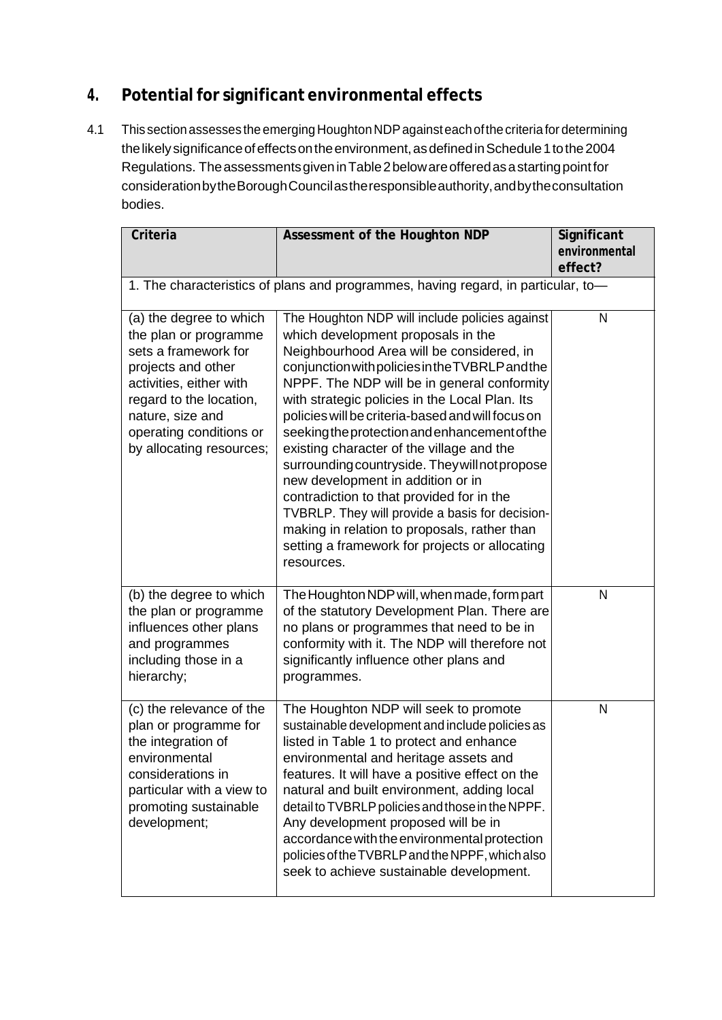# **4. Potentialfor significant environmental effects**

4.1 This section assesses the emerging Houghton NDP against each of the criteria for determining the likely significance of effects on the environment, as defined in Schedule 1 to the 2004 Regulations. The assessments given in Table 2 below are offered as a starting point for considerationbytheBoroughCouncilastheresponsibleauthority,andbytheconsultation bodies.

| Criteria                                                                                                                                                                                                                        | Assessment of the Houghton NDP                                                                                                                                                                                                                                                                                                                                                                                                                                                                                                                                                                                                                                                                                                                  | Significant<br>environmental |
|---------------------------------------------------------------------------------------------------------------------------------------------------------------------------------------------------------------------------------|-------------------------------------------------------------------------------------------------------------------------------------------------------------------------------------------------------------------------------------------------------------------------------------------------------------------------------------------------------------------------------------------------------------------------------------------------------------------------------------------------------------------------------------------------------------------------------------------------------------------------------------------------------------------------------------------------------------------------------------------------|------------------------------|
|                                                                                                                                                                                                                                 |                                                                                                                                                                                                                                                                                                                                                                                                                                                                                                                                                                                                                                                                                                                                                 | effect?                      |
| 1. The characteristics of plans and programmes, having regard, in particular, to-                                                                                                                                               |                                                                                                                                                                                                                                                                                                                                                                                                                                                                                                                                                                                                                                                                                                                                                 |                              |
| (a) the degree to which<br>the plan or programme<br>sets a framework for<br>projects and other<br>activities, either with<br>regard to the location,<br>nature, size and<br>operating conditions or<br>by allocating resources; | The Houghton NDP will include policies against<br>which development proposals in the<br>Neighbourhood Area will be considered, in<br>conjunction with policies in the TVBRLP and the<br>NPPF. The NDP will be in general conformity<br>with strategic policies in the Local Plan. Its<br>policies will be criteria-based and will focus on<br>seeking the protection and enhancement of the<br>existing character of the village and the<br>surrounding countryside. They will not propose<br>new development in addition or in<br>contradiction to that provided for in the<br>TVBRLP. They will provide a basis for decision-<br>making in relation to proposals, rather than<br>setting a framework for projects or allocating<br>resources. | N                            |
| (b) the degree to which<br>the plan or programme<br>influences other plans<br>and programmes<br>including those in a<br>hierarchy;                                                                                              | The Houghton NDP will, when made, form part<br>of the statutory Development Plan. There are<br>no plans or programmes that need to be in<br>conformity with it. The NDP will therefore not<br>significantly influence other plans and<br>programmes.                                                                                                                                                                                                                                                                                                                                                                                                                                                                                            | N                            |
| (c) the relevance of the<br>plan or programme for<br>the integration of<br>environmental<br>considerations in<br>particular with a view to<br>promoting sustainable<br>development;                                             | The Houghton NDP will seek to promote<br>sustainable development and include policies as<br>listed in Table 1 to protect and enhance<br>environmental and heritage assets and<br>features. It will have a positive effect on the<br>natural and built environment, adding local<br>detail to TVBRLP policies and those in the NPPF.<br>Any development proposed will be in<br>accordance with the environmental protection<br>policies of the TVBRLP and the NPPF, which also<br>seek to achieve sustainable development.                                                                                                                                                                                                                       | N                            |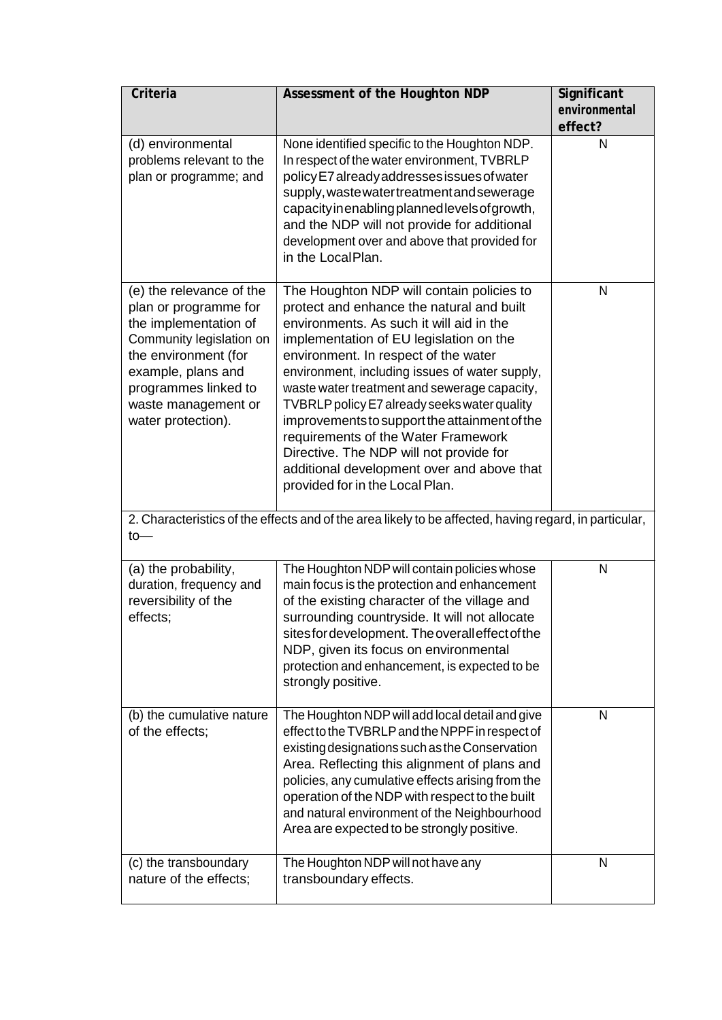| Criteria                                                                                                                                                                                                                  | Assessment of the Houghton NDP                                                                                                                                                                                                                                                                                                                                                                                                                                                                                                                                                              | Significant<br>environmental |
|---------------------------------------------------------------------------------------------------------------------------------------------------------------------------------------------------------------------------|---------------------------------------------------------------------------------------------------------------------------------------------------------------------------------------------------------------------------------------------------------------------------------------------------------------------------------------------------------------------------------------------------------------------------------------------------------------------------------------------------------------------------------------------------------------------------------------------|------------------------------|
|                                                                                                                                                                                                                           |                                                                                                                                                                                                                                                                                                                                                                                                                                                                                                                                                                                             | effect?                      |
| (d) environmental<br>problems relevant to the<br>plan or programme; and                                                                                                                                                   | None identified specific to the Houghton NDP.<br>In respect of the water environment, TVBRLP<br>policy E7 already addresses issues of water<br>supply, waste water treatment and sewerage<br>capacity in enabling planned levels of growth,<br>and the NDP will not provide for additional<br>development over and above that provided for<br>in the LocalPlan.                                                                                                                                                                                                                             | N                            |
| (e) the relevance of the<br>plan or programme for<br>the implementation of<br>Community legislation on<br>the environment (for<br>example, plans and<br>programmes linked to<br>waste management or<br>water protection). | The Houghton NDP will contain policies to<br>protect and enhance the natural and built<br>environments. As such it will aid in the<br>implementation of EU legislation on the<br>environment. In respect of the water<br>environment, including issues of water supply,<br>waste water treatment and sewerage capacity,<br>TVBRLP policy E7 already seeks water quality<br>improvements to support the attainment of the<br>requirements of the Water Framework<br>Directive. The NDP will not provide for<br>additional development over and above that<br>provided for in the Local Plan. | N                            |
| 2. Characteristics of the effects and of the area likely to be affected, having regard, in particular,<br>$to-$                                                                                                           |                                                                                                                                                                                                                                                                                                                                                                                                                                                                                                                                                                                             |                              |
| (a) the probability,<br>duration, frequency and<br>reversibility of the<br>effects;                                                                                                                                       | The Houghton NDP will contain policies whose<br>main focus is the protection and enhancement<br>of the existing character of the village and<br>surrounding countryside. It will not allocate<br>sites for development. The overall effect of the<br>NDP, given its focus on environmental<br>protection and enhancement, is expected to be<br>strongly positive.                                                                                                                                                                                                                           | N                            |
| (b) the cumulative nature<br>of the effects;                                                                                                                                                                              | The Houghton NDP will add local detail and give<br>effect to the TVBRLP and the NPPF in respect of<br>existing designations such as the Conservation<br>Area. Reflecting this alignment of plans and<br>policies, any cumulative effects arising from the<br>operation of the NDP with respect to the built<br>and natural environment of the Neighbourhood<br>Area are expected to be strongly positive.                                                                                                                                                                                   | N                            |
| (c) the transboundary<br>nature of the effects;                                                                                                                                                                           | The Houghton NDP will not have any<br>transboundary effects.                                                                                                                                                                                                                                                                                                                                                                                                                                                                                                                                | N                            |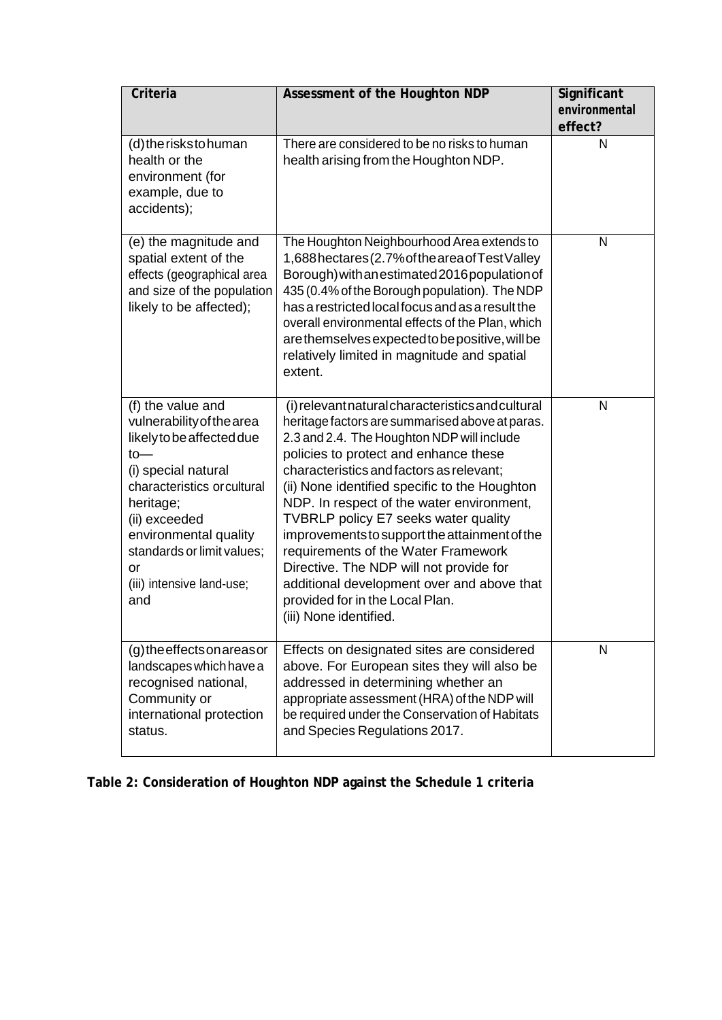| Criteria                                                                                                                                                                                                                                                                  | Assessment of the Houghton NDP                                                                                                                                                                                                                                                                                                                                                                                                                                                                                                                                                                                              | Significant<br>environmental<br>effect? |
|---------------------------------------------------------------------------------------------------------------------------------------------------------------------------------------------------------------------------------------------------------------------------|-----------------------------------------------------------------------------------------------------------------------------------------------------------------------------------------------------------------------------------------------------------------------------------------------------------------------------------------------------------------------------------------------------------------------------------------------------------------------------------------------------------------------------------------------------------------------------------------------------------------------------|-----------------------------------------|
| (d) the risks to human<br>health or the<br>environment (for<br>example, due to<br>accidents);                                                                                                                                                                             | There are considered to be no risks to human<br>health arising from the Houghton NDP.                                                                                                                                                                                                                                                                                                                                                                                                                                                                                                                                       | N                                       |
| (e) the magnitude and<br>spatial extent of the<br>effects (geographical area<br>and size of the population<br>likely to be affected);                                                                                                                                     | The Houghton Neighbourhood Area extends to<br>1,688 hectares (2.7% of the area of Test Valley<br>Borough) with an estimated 2016 population of<br>435 (0.4% of the Borough population). The NDP<br>has a restricted local focus and as a result the<br>overall environmental effects of the Plan, which<br>are themselves expected to be positive, will be<br>relatively limited in magnitude and spatial<br>extent.                                                                                                                                                                                                        | N                                       |
| (f) the value and<br>vulnerability of the area<br>likely to be affected due<br>$to-$<br>(i) special natural<br>characteristics or cultural<br>heritage;<br>(ii) exceeded<br>environmental quality<br>standards or limit values;<br>or<br>(iii) intensive land-use;<br>and | (i) relevant natural characteristics and cultural<br>heritage factors are summarised above at paras.<br>2.3 and 2.4. The Houghton NDP will include<br>policies to protect and enhance these<br>characteristics and factors as relevant;<br>(ii) None identified specific to the Houghton<br>NDP. In respect of the water environment,<br>TVBRLP policy E7 seeks water quality<br>improvements to support the attainment of the<br>requirements of the Water Framework<br>Directive. The NDP will not provide for<br>additional development over and above that<br>provided for in the Local Plan.<br>(iii) None identified. | N                                       |
| (g) the effects on areas or<br>landscapes which have a<br>recognised national,<br>Community or<br>international protection<br>status.                                                                                                                                     | Effects on designated sites are considered<br>above. For European sites they will also be<br>addressed in determining whether an<br>appropriate assessment (HRA) of the NDP will<br>be required under the Conservation of Habitats<br>and Species Regulations 2017.                                                                                                                                                                                                                                                                                                                                                         | N                                       |

**Table 2: Consideration of Houghton NDP against the Schedule 1 criteria**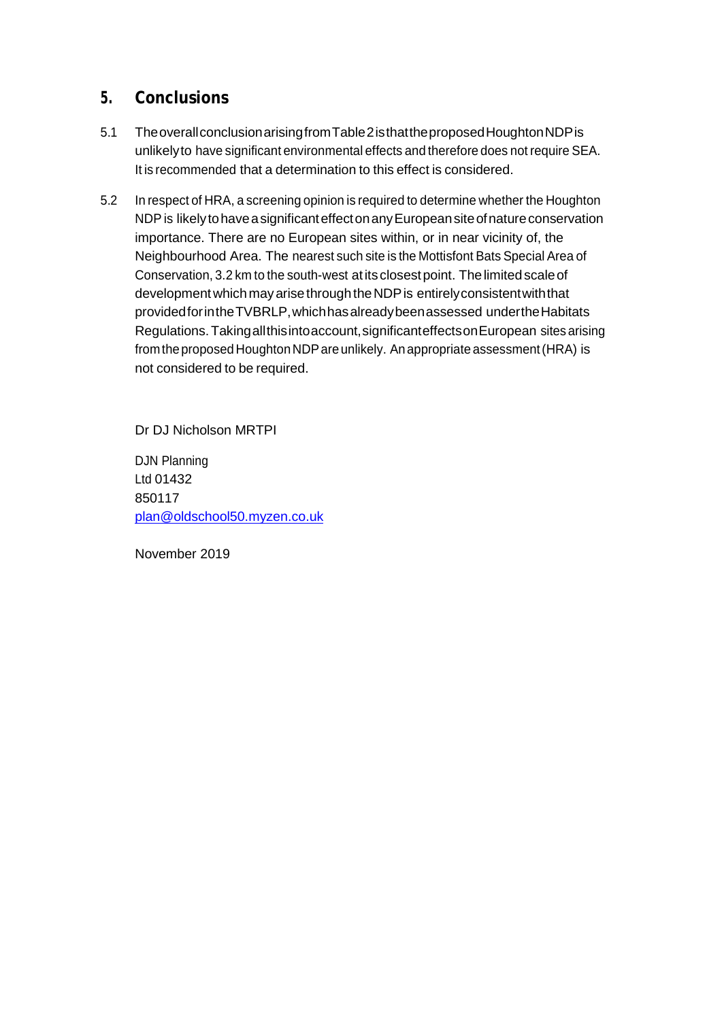## **5. Conclusions**

- 5.1 TheoverallconclusionarisingfromTable2isthattheproposedHoughtonNDPis unlikelyto have significant environmental effects and therefore does not require SEA. It is recommended that a determination to this effect is considered.
- 5.2 In respect of HRA, a screening opinion is required to determine whether the Houghton NDP is likely to have a significant effect on any European site of nature conservation importance. There are no European sites within, or in near vicinity of, the Neighbourhood Area. The nearest such site is the Mottisfont Bats Special Area of Conservation, 3.2 km to the south-west at its closest point. The limited scale of development which may arise through the NDP is entirely consistent with that providedforintheTVBRLP,whichhasalreadybeenassessed undertheHabitats Regulations.Takingallthisintoaccount,significanteffectsonEuropean sites arising from the proposed Houghton NDP are unlikely. An appropriate assessment (HRA) is not considered to be required.

Dr DJ Nicholson MRTPI

DJN Planning Ltd 01432 850117 [plan@oldschool50.myzen.co.uk](mailto:plan@oldschool50.myzen.co.uk)

November 2019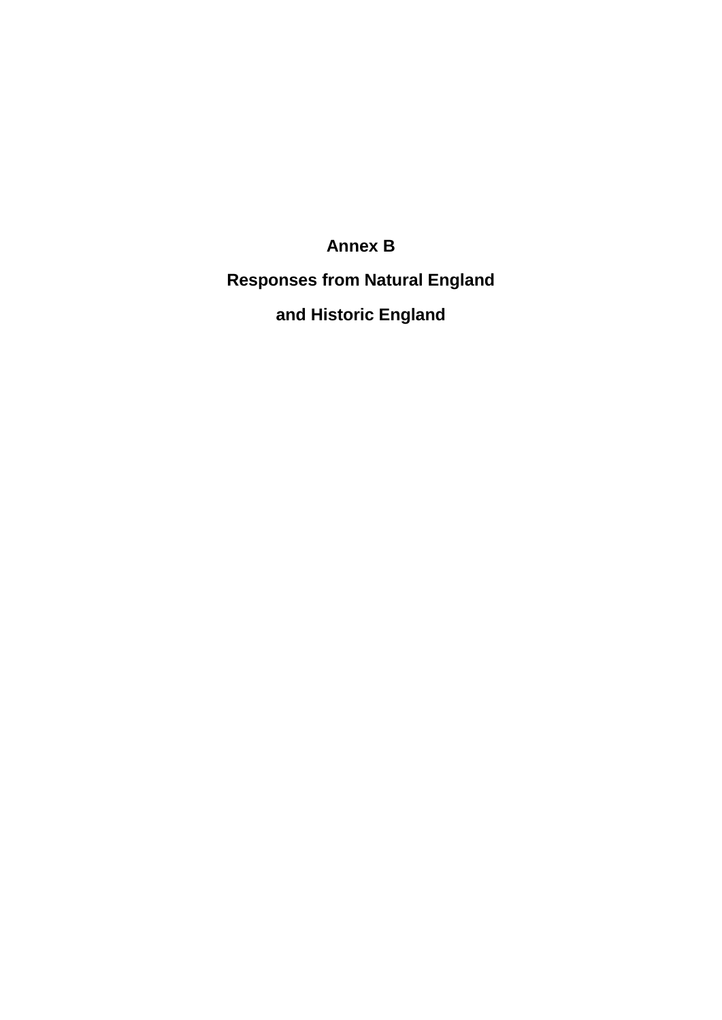## **Annex B**

**Responses from Natural England and Historic England**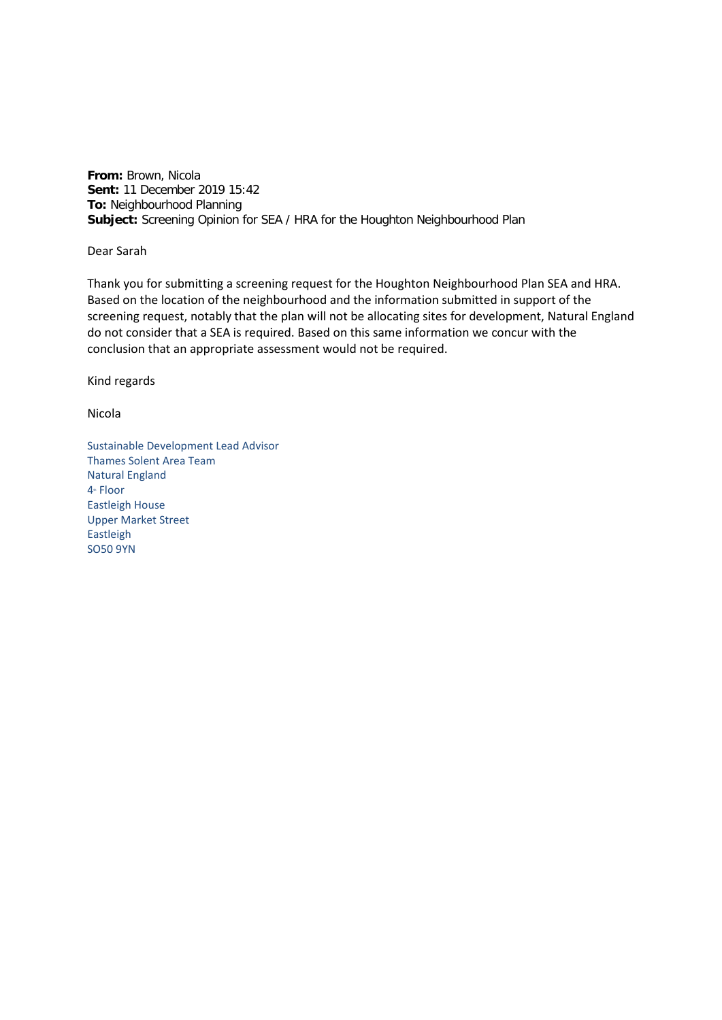**From:** Brown, Nicola **Sent:** 11 December 2019 15:42 **To:** Neighbourhood Planning **Subject:** Screening Opinion for SEA / HRA for the Houghton Neighbourhood Plan

Dear Sarah

Thank you for submitting a screening request for the Houghton Neighbourhood Plan SEA and HRA. Based on the location of the neighbourhood and the information submitted in support of the screening request, notably that the plan will not be allocating sites for development, Natural England do not consider that a SEA is required. Based on this same information we concur with the conclusion that an appropriate assessment would not be required.

Kind regards

Nicola

Sustainable Development Lead Advisor Thames Solent Area Team Natural England 4<sup>th</sup> Floor Eastleigh House Upper Market Street Eastleigh SO50 9YN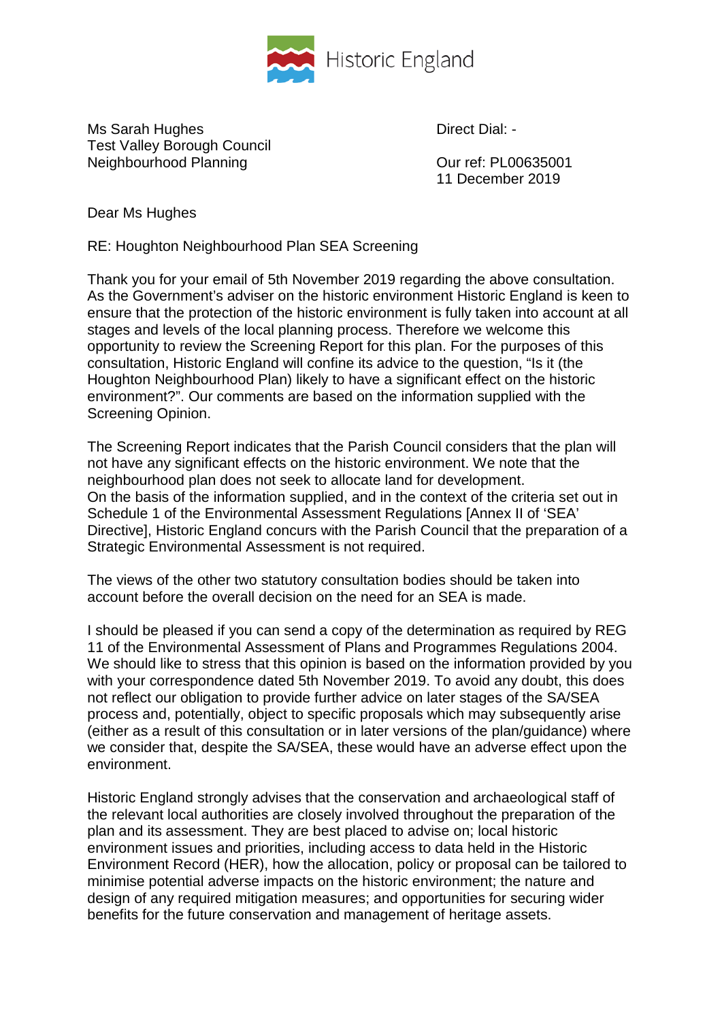

Ms Sarah Hughes Direct Dial: -Test Valley Borough Council Neighbourhood Planning Neighbourhood Planning Neighbourhood Planning Network Curref: PL00635001

11 December 2019

Dear Ms Hughes

RE: Houghton Neighbourhood Plan SEA Screening

Thank you for your email of 5th November 2019 regarding the above consultation. As the Government's adviser on the historic environment Historic England is keen to ensure that the protection of the historic environment is fully taken into account at all stages and levels of the local planning process. Therefore we welcome this opportunity to review the Screening Report for this plan. For the purposes of this consultation, Historic England will confine its advice to the question, "Is it (the Houghton Neighbourhood Plan) likely to have a significant effect on the historic environment?". Our comments are based on the information supplied with the Screening Opinion.

The Screening Report indicates that the Parish Council considers that the plan will not have any significant effects on the historic environment. We note that the neighbourhood plan does not seek to allocate land for development. On the basis of the information supplied, and in the context of the criteria set out in Schedule 1 of the Environmental Assessment Regulations [Annex II of 'SEA' Directive], Historic England concurs with the Parish Council that the preparation of a Strategic Environmental Assessment is not required.

The views of the other two statutory consultation bodies should be taken into account before the overall decision on the need for an SEA is made.

I should be pleased if you can send a copy of the determination as required by REG 11 of the Environmental Assessment of Plans and Programmes Regulations 2004. We should like to stress that this opinion is based on the information provided by you with your correspondence dated 5th November 2019. To avoid any doubt, this does not reflect our obligation to provide further advice on later stages of the SA/SEA process and, potentially, object to specific proposals which may subsequently arise (either as a result of this consultation or in later versions of the plan/guidance) where we consider that, despite the SA/SEA, these would have an adverse effect upon the environment.

Historic England strongly advises that the conservation and archaeological staff of the relevant local authorities are closely involved throughout the preparation of the plan and its assessment. They are best placed to advise on; local historic environment issues and priorities, including access to data held in the Historic Environment Record (HER), how the allocation, policy or proposal can be tailored to minimise potential adverse impacts on the historic environment; the nature and design of any required mitigation measures; and opportunities for securing wider benefits for the future conservation and management of heritage assets.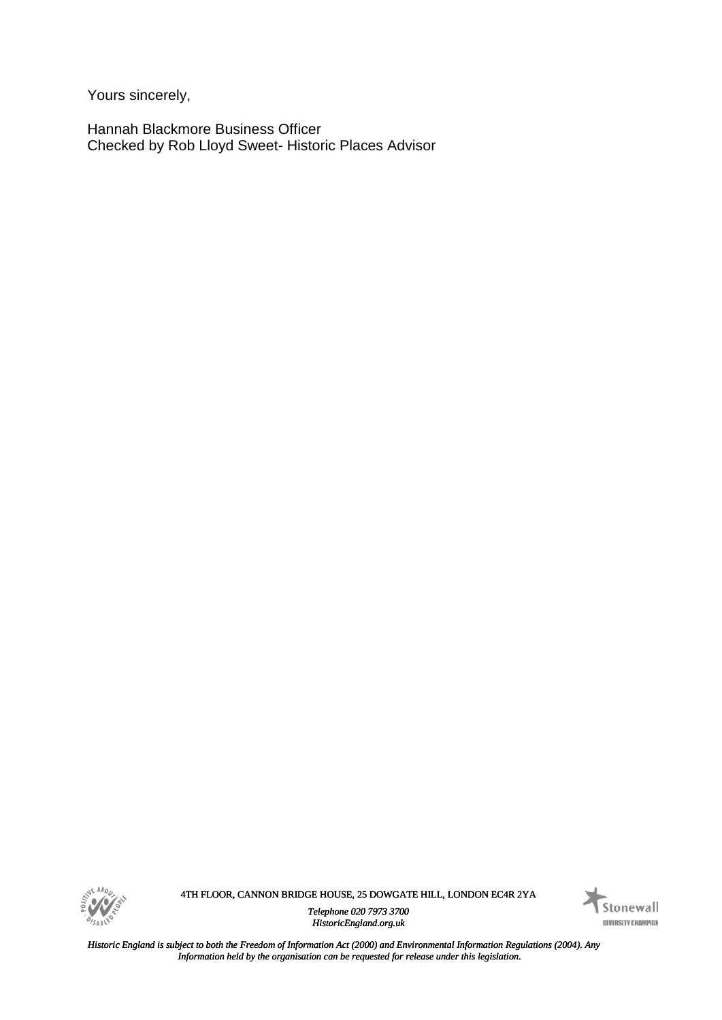*Yours sincerely,<br>
Hannah Blackmore Business Officer***<br>** *Any Angle Sweet Historic Places Advisor***<br>** *Any**<i>Any Any Bob Lloyd Sweet* **Historic Places Advisor<br>** *Any <i>Angle Sweet Any Angle Sweet Angle Sweet Angle Angle Sweet A* Hannah Blackmore Business Officer Checked by Rob Lloyd Sweet- Historic Places Advisor



4TH FLOOR, CANNON BRIDGE HOUSE, 25 DOWGATE HILL, LONDON EC4R 2YA

*Telephone 020 7973 3700 HistoricEngland.org.uk*



*Historic England is subject to both the Freedom of Information Act (2000) and Environmental Information Regulations (2004). Any Information held by the organisation can be requested for release under this legislation.*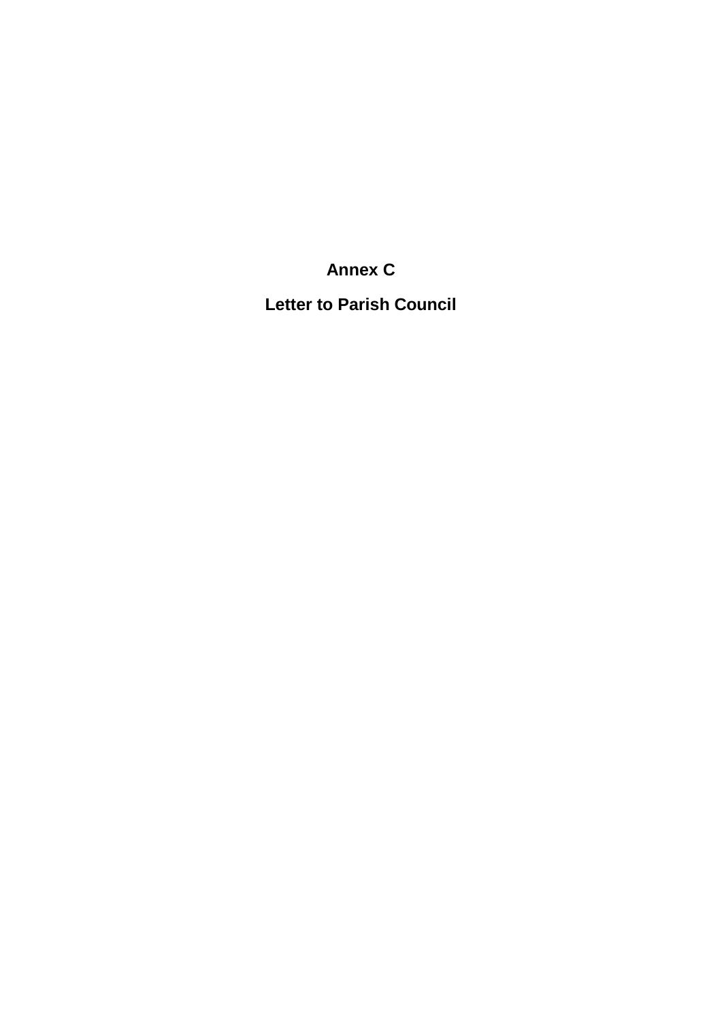**Annex C**

**Letter to Parish Council**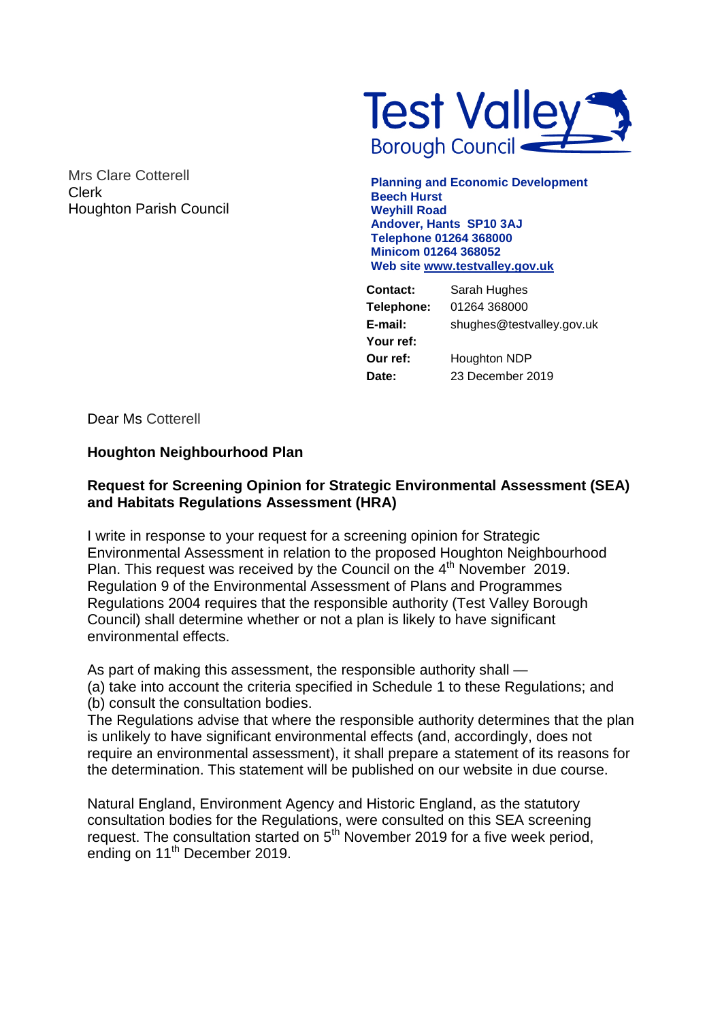Mrs Clare Cotterell Clerk Houghton Parish Council



**Planning and Economic Development Beech Hurst Weyhill Road Andover, Hants SP10 3AJ Telephone 01264 368000 Minicom 01264 368052 Web site [www.testvalley.gov.uk](http://www.testvalley.gov.uk/)**

| <b>Contact:</b> | Sarah Hughes              |
|-----------------|---------------------------|
| Telephone:      | 01264 368000              |
| E-mail:         | shughes@testvalley.gov.uk |
| Your ref:       |                           |
| Our ref:        | Houghton NDP              |
| Date:           | 23 December 2019          |
|                 |                           |

Dear Ms Cotterell

### **Houghton Neighbourhood Plan**

### **Request for Screening Opinion for Strategic Environmental Assessment (SEA) and Habitats Regulations Assessment (HRA)**

I write in response to your request for a screening opinion for Strategic Environmental Assessment in relation to the proposed Houghton Neighbourhood Plan. This request was received by the Council on the 4<sup>th</sup> November 2019. Regulation 9 of the Environmental Assessment of Plans and Programmes Regulations 2004 requires that the responsible authority (Test Valley Borough Council) shall determine whether or not a plan is likely to have significant environmental effects.

As part of making this assessment, the responsible authority shall —

(a) take into account the criteria specified in Schedule 1 to these Regulations; and (b) consult the consultation bodies.

The Regulations advise that where the responsible authority determines that the plan is unlikely to have significant environmental effects (and, accordingly, does not require an environmental assessment), it shall prepare a statement of its reasons for the determination. This statement will be published on our website in due course.

Natural England, Environment Agency and Historic England, as the statutory consultation bodies for the Regulations, were consulted on this SEA screening request. The consultation started on  $5<sup>th</sup>$  November 2019 for a five week period, ending on 11<sup>th</sup> December 2019.